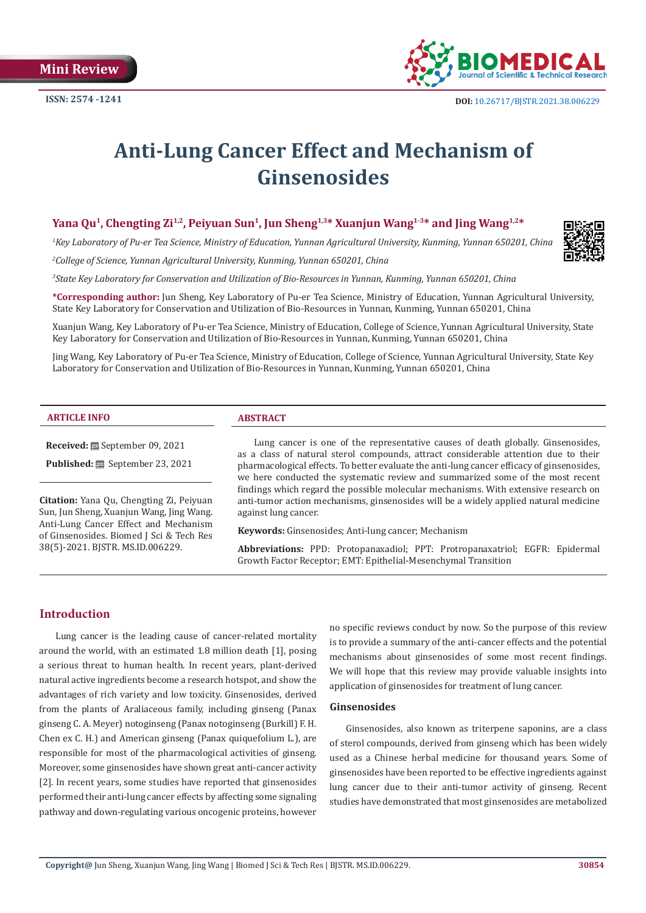**Mini Review**



# **Anti-Lung Cancer Effect and Mechanism of Ginsenosides**

# Yana Qu<sup>1</sup>, Chengting Zi<sup>1,2</sup>, Peiyuan Sun<sup>1</sup>, Jun Sheng<sup>1,3\*</sup> Xuanjun Wang<sup>1,3\*</sup> and Jing Wang<sup>1,2\*</sup>

*1 Key Laboratory of Pu-er Tea Science, Ministry of Education, Yunnan Agricultural University, Kunming, Yunnan 650201, China*

*2 College of Science, Yunnan Agricultural University, Kunming, Yunnan 650201, China*

*3 State Key Laboratory for Conservation and Utilization of Bio-Resources in Yunnan, Kunming, Yunnan 650201, China*

**\*Corresponding author:** Jun Sheng, Key Laboratory of Pu-er Tea Science, Ministry of Education, Yunnan Agricultural University, State Key Laboratory for Conservation and Utilization of Bio-Resources in Yunnan, Kunming, Yunnan 650201, China

Xuanjun Wang, Key Laboratory of Pu-er Tea Science, Ministry of Education, College of Science, Yunnan Agricultural University, State Key Laboratory for Conservation and Utilization of Bio-Resources in Yunnan, Kunming, Yunnan 650201, China

Jing Wang, Key Laboratory of Pu-er Tea Science, Ministry of Education, College of Science, Yunnan Agricultural University, State Key Laboratory for Conservation and Utilization of Bio-Resources in Yunnan, Kunming, Yunnan 650201, China

#### **ARTICLE INFO ABSTRACT**

**Received:** September 09, 2021 **Published:** September 23, 2021

**Citation:** Yana Qu, Chengting Zi, Peiyuan Sun, Jun Sheng, Xuanjun Wang, Jing Wang. Anti-Lung Cancer Effect and Mechanism of Ginsenosides. Biomed J Sci & Tech Res 38(5)-2021. BJSTR. MS.ID.006229.

Lung cancer is one of the representative causes of death globally. Ginsenosides, as a class of natural sterol compounds, attract considerable attention due to their pharmacological effects. To better evaluate the anti-lung cancer efficacy of ginsenosides, we here conducted the systematic review and summarized some of the most recent findings which regard the possible molecular mechanisms. With extensive research on anti-tumor action mechanisms, ginsenosides will be a widely applied natural medicine against lung cancer.

**Keywords:** Ginsenosides; Anti-lung cancer; Mechanism

**Abbreviations:** PPD: Protopanaxadiol; PPT: Protropanaxatriol; EGFR: Epidermal Growth Factor Receptor; EMT: Epithelial-Mesenchymal Transition

# **Introduction**

Lung cancer is the leading cause of cancer-related mortality around the world, with an estimated 1.8 million death [1], posing a serious threat to human health. In recent years, plant-derived natural active ingredients become a research hotspot, and show the advantages of rich variety and low toxicity. Ginsenosides, derived from the plants of Araliaceous family, including ginseng (Panax ginseng C. A. Meyer) notoginseng (Panax notoginseng (Burkill) F. H. Chen ex C. H.) and American ginseng (Panax quiquefolium L.), are responsible for most of the pharmacological activities of ginseng. Moreover, some ginsenosides have shown great anti-cancer activity [2]. In recent years, some studies have reported that ginsenosides performed their anti-lung cancer effects by affecting some signaling pathway and down-regulating various oncogenic proteins, however no specific reviews conduct by now. So the purpose of this review is to provide a summary of the anti-cancer effects and the potential mechanisms about ginsenosides of some most recent findings. We will hope that this review may provide valuable insights into application of ginsenosides for treatment of lung cancer.

#### **Ginsenosides**

Ginsenosides, also known as triterpene saponins, are a class of sterol compounds, derived from ginseng which has been widely used as a Chinese herbal medicine for thousand years. Some of ginsenosides have been reported to be effective ingredients against lung cancer due to their anti-tumor activity of ginseng. Recent studies have demonstrated that most ginsenosides are metabolized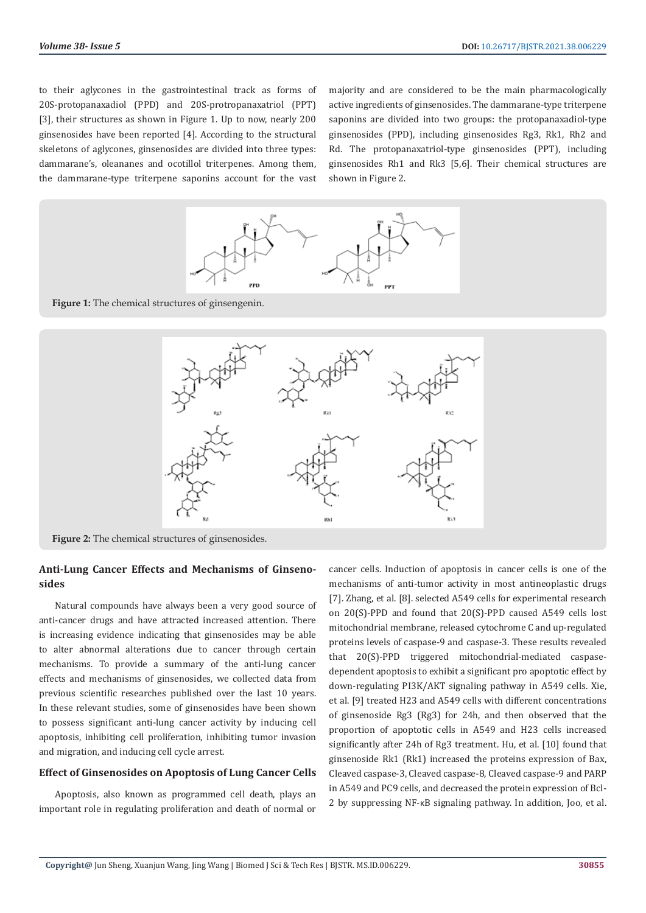to their aglycones in the gastrointestinal track as forms of 20S-protopanaxadiol (PPD) and 20S-protropanaxatriol (PPT) [3], their structures as shown in Figure 1. Up to now, nearly 200 ginsenosides have been reported [4]. According to the structural skeletons of aglycones, ginsenosides are divided into three types: dammarane's, oleananes and ocotillol triterpenes. Among them, the dammarane-type triterpene saponins account for the vast

majority and are considered to be the main pharmacologically active ingredients of ginsenosides. The dammarane-type triterpene saponins are divided into two groups: the protopanaxadiol-type ginsenosides (PPD), including ginsenosides Rg3, Rk1, Rh2 and Rd. The protopanaxatriol-type ginsenosides (PPT), including ginsenosides Rh1 and Rk3 [5,6]. Their chemical structures are shown in Figure 2.



**Figure 1:** The chemical structures of ginsengenin.



**Figure 2:** The chemical structures of ginsenosides.

# **Anti-Lung Cancer Effects and Mechanisms of Ginsenosides**

Natural compounds have always been a very good source of anti-cancer drugs and have attracted increased attention. There is increasing evidence indicating that ginsenosides may be able to alter abnormal alterations due to cancer through certain mechanisms. To provide a summary of the anti-lung cancer effects and mechanisms of ginsenosides, we collected data from previous scientific researches published over the last 10 years. In these relevant studies, some of ginsenosides have been shown to possess significant anti-lung cancer activity by inducing cell apoptosis, inhibiting cell proliferation, inhibiting tumor invasion and migration, and inducing cell cycle arrest.

#### **Effect of Ginsenosides on Apoptosis of Lung Cancer Cells**

Apoptosis, also known as programmed cell death, plays an important role in regulating proliferation and death of normal or cancer cells. Induction of apoptosis in cancer cells is one of the mechanisms of anti-tumor activity in most antineoplastic drugs [7]. Zhang, et al. [8]. selected A549 cells for experimental research on 20(S)-PPD and found that 20(S)-PPD caused A549 cells lost mitochondrial membrane, released cytochrome C and up-regulated proteins levels of caspase-9 and caspase-3. These results revealed that 20(S)-PPD triggered mitochondrial-mediated caspasedependent apoptosis to exhibit a significant pro apoptotic effect by down-regulating PI3K/AKT signaling pathway in A549 cells. Xie, et al. [9] treated H23 and A549 cells with different concentrations of ginsenoside Rg3 (Rg3) for 24h, and then observed that the proportion of apoptotic cells in A549 and H23 cells increased significantly after 24h of Rg3 treatment. Hu, et al. [10] found that ginsenoside Rk1 (Rk1) increased the proteins expression of Bax, Cleaved caspase-3, Cleaved caspase-8, Cleaved caspase-9 and PARP in A549 and PC9 cells, and decreased the protein expression of Bcl-2 by suppressing NF-κB signaling pathway. In addition, Joo, et al.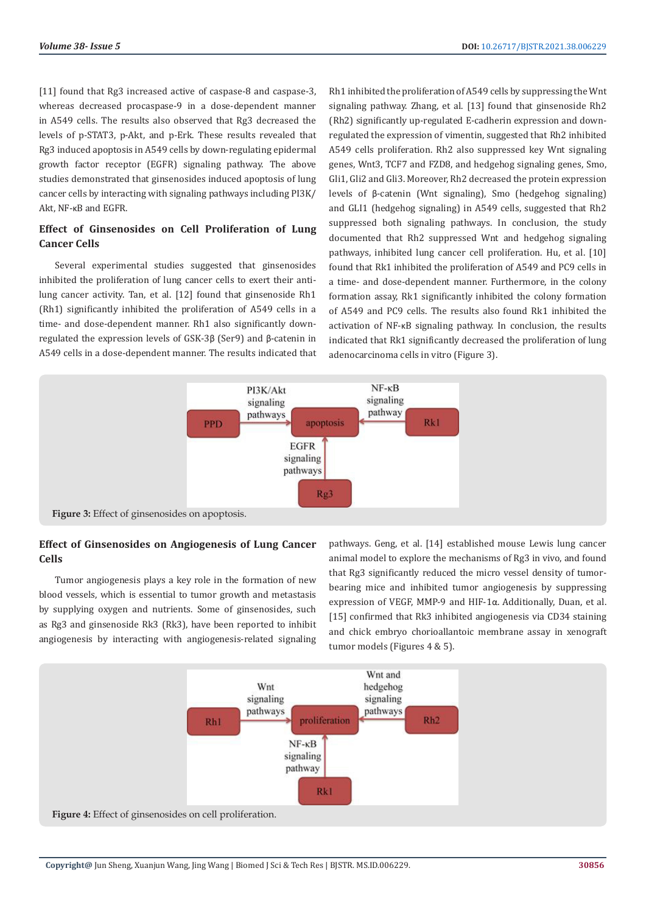[11] found that Rg3 increased active of caspase-8 and caspase-3, whereas decreased procaspase-9 in a dose-dependent manner in A549 cells. The results also observed that Rg3 decreased the levels of p-STAT3, p-Akt, and p-Erk. These results revealed that Rg3 induced apoptosis in A549 cells by down-regulating epidermal growth factor receptor (EGFR) signaling pathway. The above studies demonstrated that ginsenosides induced apoptosis of lung cancer cells by interacting with signaling pathways including PI3K/ Akt, NF-κB and EGFR.

# **Effect of Ginsenosides on Cell Proliferation of Lung Cancer Cells**

Several experimental studies suggested that ginsenosides inhibited the proliferation of lung cancer cells to exert their antilung cancer activity. Tan, et al. [12] found that ginsenoside Rh1 (Rh1) significantly inhibited the proliferation of A549 cells in a time- and dose-dependent manner. Rh1 also significantly downregulated the expression levels of GSK-3β (Ser9) and β-catenin in A549 cells in a dose-dependent manner. The results indicated that

Rh1 inhibited the proliferation of A549 cells by suppressing the Wnt signaling pathway. Zhang, et al. [13] found that ginsenoside Rh2 (Rh2) significantly up-regulated E-cadherin expression and downregulated the expression of vimentin, suggested that Rh2 inhibited A549 cells proliferation. Rh2 also suppressed key Wnt signaling genes, Wnt3, TCF7 and FZD8, and hedgehog signaling genes, Smo, Gli1, Gli2 and Gli3. Moreover, Rh2 decreased the protein expression levels of β-catenin (Wnt signaling), Smo (hedgehog signaling) and GLI1 (hedgehog signaling) in A549 cells, suggested that Rh2 suppressed both signaling pathways. In conclusion, the study documented that Rh2 suppressed Wnt and hedgehog signaling pathways, inhibited lung cancer cell proliferation. Hu, et al. [10] found that Rk1 inhibited the proliferation of A549 and PC9 cells in a time- and dose-dependent manner. Furthermore, in the colony formation assay, Rk1 significantly inhibited the colony formation of A549 and PC9 cells. The results also found Rk1 inhibited the activation of NF-κB signaling pathway. In conclusion, the results indicated that Rk1 significantly decreased the proliferation of lung adenocarcinoma cells in vitro (Figure 3).



# **Effect of Ginsenosides on Angiogenesis of Lung Cancer Cells**

Tumor angiogenesis plays a key role in the formation of new blood vessels, which is essential to tumor growth and metastasis by supplying oxygen and nutrients. Some of ginsenosides, such as Rg3 and ginsenoside Rk3 (Rk3), have been reported to inhibit angiogenesis by interacting with angiogenesis-related signaling pathways. Geng, et al. [14] established mouse Lewis lung cancer animal model to explore the mechanisms of Rg3 in vivo, and found that Rg3 significantly reduced the micro vessel density of tumorbearing mice and inhibited tumor angiogenesis by suppressing expression of VEGF, MMP-9 and HIF-1α. Additionally, Duan, et al. [15] confirmed that Rk3 inhibited angiogenesis via CD34 staining and chick embryo chorioallantoic membrane assay in xenograft tumor models (Figures 4 & 5).

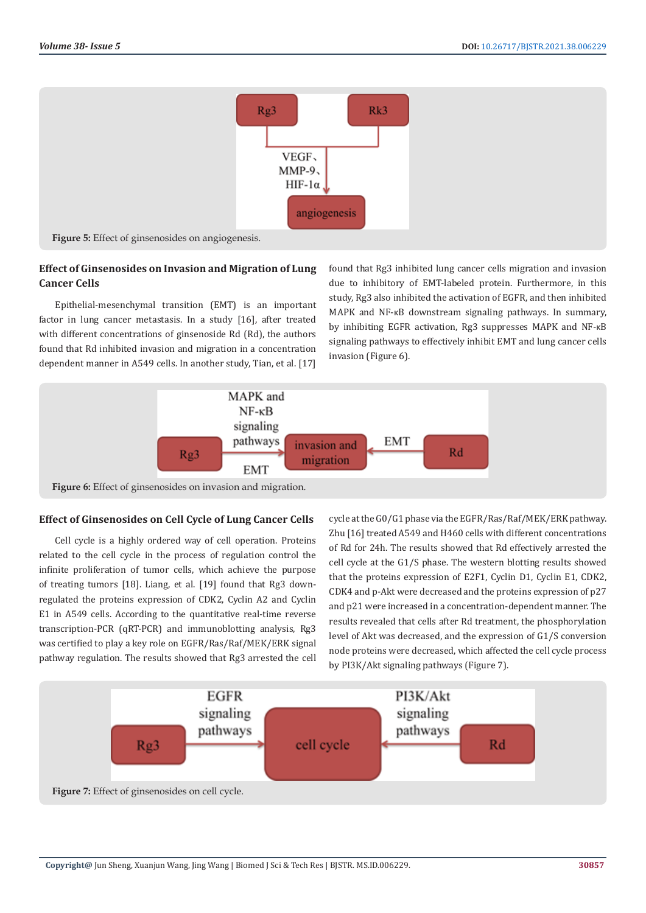

# **Effect of Ginsenosides on Invasion and Migration of Lung Cancer Cells**

Epithelial-mesenchymal transition (EMT) is an important factor in lung cancer metastasis. In a study [16], after treated with different concentrations of ginsenoside Rd (Rd), the authors found that Rd inhibited invasion and migration in a concentration dependent manner in A549 cells. In another study, Tian, et al. [17]

found that Rg3 inhibited lung cancer cells migration and invasion due to inhibitory of EMT-labeled protein. Furthermore, in this study, Rg3 also inhibited the activation of EGFR, and then inhibited MAPK and NF-κB downstream signaling pathways. In summary, by inhibiting EGFR activation, Rg3 suppresses MAPK and NF-κB signaling pathways to effectively inhibit EMT and lung cancer cells invasion (Figure 6).



# **Effect of Ginsenosides on Cell Cycle of Lung Cancer Cells**

Cell cycle is a highly ordered way of cell operation. Proteins related to the cell cycle in the process of regulation control the infinite proliferation of tumor cells, which achieve the purpose of treating tumors [18]. Liang, et al. [19] found that Rg3 downregulated the proteins expression of CDK2, Cyclin A2 and Cyclin E1 in A549 cells. According to the quantitative real-time reverse transcription-PCR (qRT-PCR) and immunoblotting analysis, Rg3 was certified to play a key role on EGFR/Ras/Raf/MEK/ERK signal pathway regulation. The results showed that Rg3 arrested the cell

cycle at the G0/G1 phase via the EGFR/Ras/Raf/MEK/ERK pathway. Zhu [16] treated A549 and H460 cells with different concentrations of Rd for 24h. The results showed that Rd effectively arrested the cell cycle at the G1/S phase. The western blotting results showed that the proteins expression of E2F1, Cyclin D1, Cyclin E1, CDK2, CDK4 and p-Akt were decreased and the proteins expression of p27 and p21 were increased in a concentration-dependent manner. The results revealed that cells after Rd treatment, the phosphorylation level of Akt was decreased, and the expression of G1/S conversion node proteins were decreased, which affected the cell cycle process by PI3K/Akt signaling pathways (Figure 7).

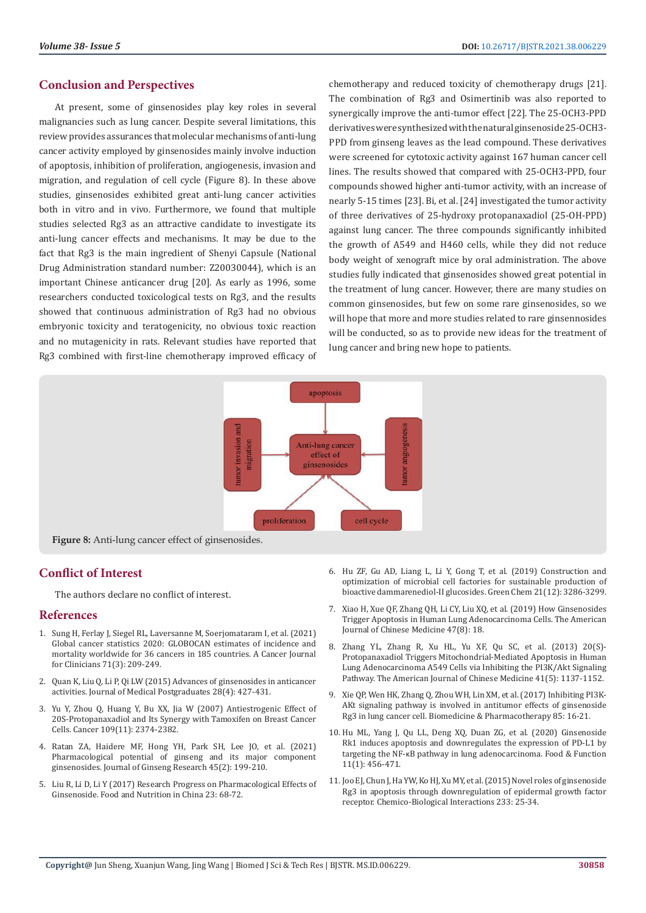## **Conclusion and Perspectives**

At present, some of ginsenosides play key roles in several malignancies such as lung cancer. Despite several limitations, this review provides assurances that molecular mechanisms of anti-lung cancer activity employed by ginsenosides mainly involve induction of apoptosis, inhibition of proliferation, angiogenesis, invasion and migration, and regulation of cell cycle (Figure 8). In these above studies, ginsenosides exhibited great anti-lung cancer activities both in vitro and in vivo. Furthermore, we found that multiple studies selected Rg3 as an attractive candidate to investigate its anti-lung cancer effects and mechanisms. It may be due to the fact that Rg3 is the main ingredient of Shenyi Capsule (National Drug Administration standard number: Z20030044), which is an important Chinese anticancer drug [20]. As early as 1996, some researchers conducted toxicological tests on Rg3, and the results showed that continuous administration of Rg3 had no obvious embryonic toxicity and teratogenicity, no obvious toxic reaction and no mutagenicity in rats. Relevant studies have reported that Rg3 combined with first-line chemotherapy improved efficacy of chemotherapy and reduced toxicity of chemotherapy drugs [21]. The combination of Rg3 and Osimertinib was also reported to synergically improve the anti-tumor effect [22]. The 25-OCH3-PPD derivatives were synthesized with the natural ginsenoside 25-OCH3- PPD from ginseng leaves as the lead compound. These derivatives were screened for cytotoxic activity against 167 human cancer cell lines. The results showed that compared with 25-OCH3-PPD, four compounds showed higher anti-tumor activity, with an increase of nearly 5-15 times [23]. Bi, et al. [24] investigated the tumor activity of three derivatives of 25-hydroxy protopanaxadiol (25-OH-PPD) against lung cancer. The three compounds significantly inhibited the growth of A549 and H460 cells, while they did not reduce body weight of xenograft mice by oral administration. The above studies fully indicated that ginsenosides showed great potential in the treatment of lung cancer. However, there are many studies on common ginsenosides, but few on some rare ginsenosides, so we will hope that more and more studies related to rare ginsennosides will be conducted, so as to provide new ideas for the treatment of lung cancer and bring new hope to patients.



**Figure 8:** Anti-lung cancer effect of ginsenosides.

# **Conflict of Interest**

The authors declare no conflict of interest.

#### **References**

- 1. [Sung H, Ferlay J, Siegel RL, Laversanne M, Soerjomataram I, et al. \(2021\)](https://pubmed.ncbi.nlm.nih.gov/33538338/)  [Global cancer statistics 2020: GLOBOCAN estimates of incidence and](https://pubmed.ncbi.nlm.nih.gov/33538338/)  [mortality worldwide for 36 cancers in 185 countries. A Cancer Journal](https://pubmed.ncbi.nlm.nih.gov/33538338/)  [for Clinicians 71\(3\): 209-249.](https://pubmed.ncbi.nlm.nih.gov/33538338/)
- 2. [Quan K, Liu Q, Li P, Qi LW \(2015\) Advances of ginsenosides in anticancer](https://pesquisa.bvsalud.org/portal/resource/pt/wpr-475608)  [activities. Journal of Medical Postgraduates 28\(4\): 427-431.](https://pesquisa.bvsalud.org/portal/resource/pt/wpr-475608)
- 3. [Yu Y, Zhou Q, Huang Y, Bu XX, Jia W \(2007\) Antiestrogenic Effect of](https://pubmed.ncbi.nlm.nih.gov/17464948/)  [20S-Protopanaxadiol and Its Synergy with Tamoxifen on Breast Cancer](https://pubmed.ncbi.nlm.nih.gov/17464948/)  [Cells. Cancer 109\(11\): 2374-2382.](https://pubmed.ncbi.nlm.nih.gov/17464948/)
- 4. [Ratan ZA, Haidere MF, Hong YH, Park SH, Lee JO, et al. \(2021\)](https://www.ncbi.nlm.nih.gov/pmc/articles/PMC8020288/)  [Pharmacological potential of ginseng and its major component](https://www.ncbi.nlm.nih.gov/pmc/articles/PMC8020288/)  [ginsenosides. Journal of Ginseng Research 45\(2\): 199-210.](https://www.ncbi.nlm.nih.gov/pmc/articles/PMC8020288/)
- 5. Liu R, Li D, Li Y (2017) Research Progress on Pharmacological Effects of Ginsenoside. Food and Nutrition in China 23: 68-72.
- 6. [Hu ZF, Gu AD, Liang L, Li Y, Gong T, et al. \(2019\) Construction and](https://pubs.rsc.org/en/content/articlelanding/2019/gc/c8gc04066d) [optimization of microbial cell factories for sustainable production of](https://pubs.rsc.org/en/content/articlelanding/2019/gc/c8gc04066d) [bioactive dammarenediol-II glucosides. Green Chem 21\(12\): 3286-3299.](https://pubs.rsc.org/en/content/articlelanding/2019/gc/c8gc04066d)
- 7. [Xiao H, Xue QF, Zhang QH, Li CY, Liu XQ, et al. \(2019\) How Ginsenosides](https://www.worldscientific.com/doi/abs/10.1142/S0192415X19500885) [Trigger Apoptosis in Human Lung Adenocarcinoma Cells. The American](https://www.worldscientific.com/doi/abs/10.1142/S0192415X19500885) [Journal of Chinese Medicine 47\(8\): 18.](https://www.worldscientific.com/doi/abs/10.1142/S0192415X19500885)
- 8. [Zhang YL, Zhang R, Xu HL, Yu XF, Qu SC, et al. \(2013\) 20\(S\)-](https://pubmed.ncbi.nlm.nih.gov/24117074/) [Protopanaxadiol Triggers Mitochondrial-Mediated Apoptosis in Human](https://pubmed.ncbi.nlm.nih.gov/24117074/) [Lung Adenocarcinoma A549 Cells via Inhibiting the PI3K/Akt Signaling](https://pubmed.ncbi.nlm.nih.gov/24117074/) [Pathway. The American Journal of Chinese Medicine 41\(5\): 1137-1152.](https://pubmed.ncbi.nlm.nih.gov/24117074/)
- 9. [Xie QP, Wen HK, Zhang Q, Zhou WH, Lin XM, et al. \(2017\) Inhibiting PI3K-](https://pubmed.ncbi.nlm.nih.gov/27930981/)[AKt signaling pathway is involved in antitumor effects of ginsenoside](https://pubmed.ncbi.nlm.nih.gov/27930981/) [Rg3 in lung cancer cell. Biomedicine & Pharmacotherapy 85: 16-21.](https://pubmed.ncbi.nlm.nih.gov/27930981/)
- 10. [Hu ML, Yang J, Qu LL, Deng XQ, Duan ZG, et al. \(2020\) Ginsenoside](https://pubmed.ncbi.nlm.nih.gov/31830168/) [Rk1 induces apoptosis and downregulates the expression of PD-L1 by](https://pubmed.ncbi.nlm.nih.gov/31830168/) targeting the NF-κ[B pathway in lung adenocarcinoma. Food & Function](https://pubmed.ncbi.nlm.nih.gov/31830168/) [11\(1\): 456-471.](https://pubmed.ncbi.nlm.nih.gov/31830168/)
- 11. [Joo EJ, Chun J, Ha YW, Ko HJ, Xu MY, et al. \(2015\) Novel roles of ginsenoside](https://pubmed.ncbi.nlm.nih.gov/25824408/) [Rg3 in apoptosis through downregulation of epidermal growth factor](https://pubmed.ncbi.nlm.nih.gov/25824408/) [receptor. Chemico-Biological Interactions 233: 25-34.](https://pubmed.ncbi.nlm.nih.gov/25824408/)